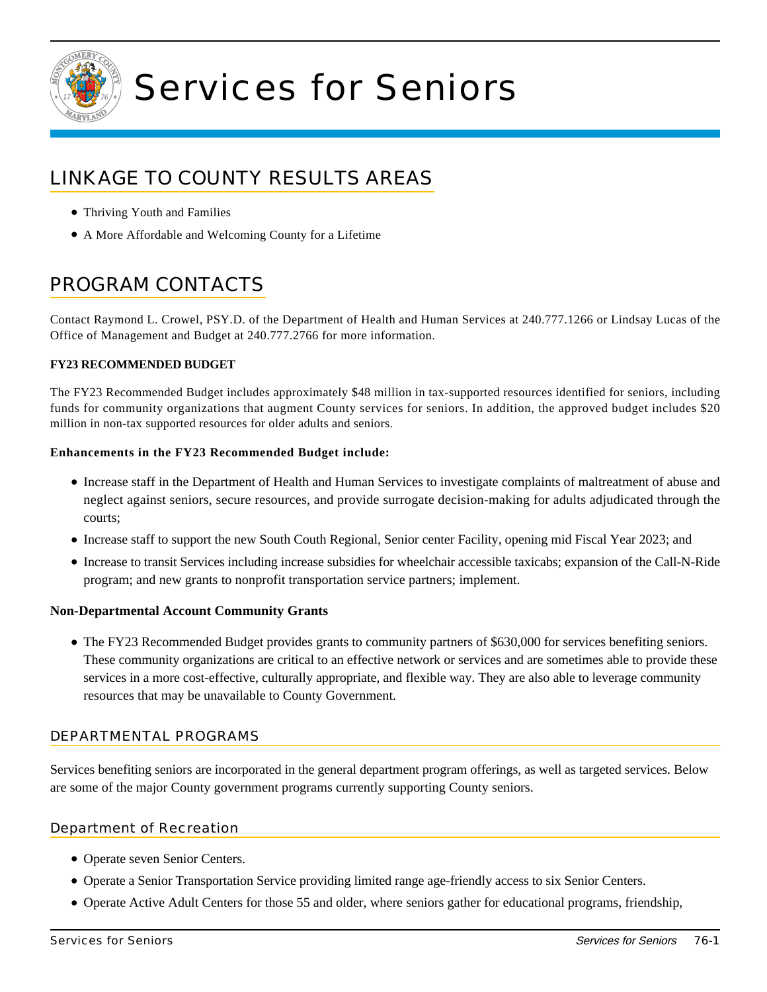

# Services for Seniors

# LINKAGE TO COUNTY RESULTS AREAS

- Thriving Youth and Families
- A More Affordable and Welcoming County for a Lifetime

# PROGRAM CONTACTS

Contact Raymond L. Crowel, PSY.D. of the Department of Health and Human Services at 240.777.1266 or Lindsay Lucas of the Office of Management and Budget at 240.777.2766 for more information.

## **FY23 RECOMMENDED BUDGET**

The FY23 Recommended Budget includes approximately \$48 million in tax-supported resources identified for seniors, including funds for community organizations that augment County services for seniors. In addition, the approved budget includes \$20 million in non-tax supported resources for older adults and seniors.

#### **Enhancements in the FY23 Recommended Budget include:**

- Increase staff in the Department of Health and Human Services to investigate complaints of maltreatment of abuse and neglect against seniors, secure resources, and provide surrogate decision-making for adults adjudicated through the courts;
- Increase staff to support the new South Couth Regional, Senior center Facility, opening mid Fiscal Year 2023; and
- Increase to transit Services including increase subsidies for wheelchair accessible taxicabs; expansion of the Call-N-Ride program; and new grants to nonprofit transportation service partners; implement.

#### **Non-Departmental Account Community Grants**

The FY23 Recommended Budget provides grants to community partners of \$630,000 for services benefiting seniors. These community organizations are critical to an effective network or services and are sometimes able to provide these services in a more cost-effective, culturally appropriate, and flexible way. They are also able to leverage community resources that may be unavailable to County Government.

#### DEPARTMENTAL PROGRAMS

Services benefiting seniors are incorporated in the general department program offerings, as well as targeted services. Below are some of the major County government programs currently supporting County seniors.

#### Department of Recreation

- Operate seven Senior Centers.
- Operate a Senior Transportation Service providing limited range age-friendly access to six Senior Centers.
- Operate Active Adult Centers for those 55 and older, where seniors gather for educational programs, friendship,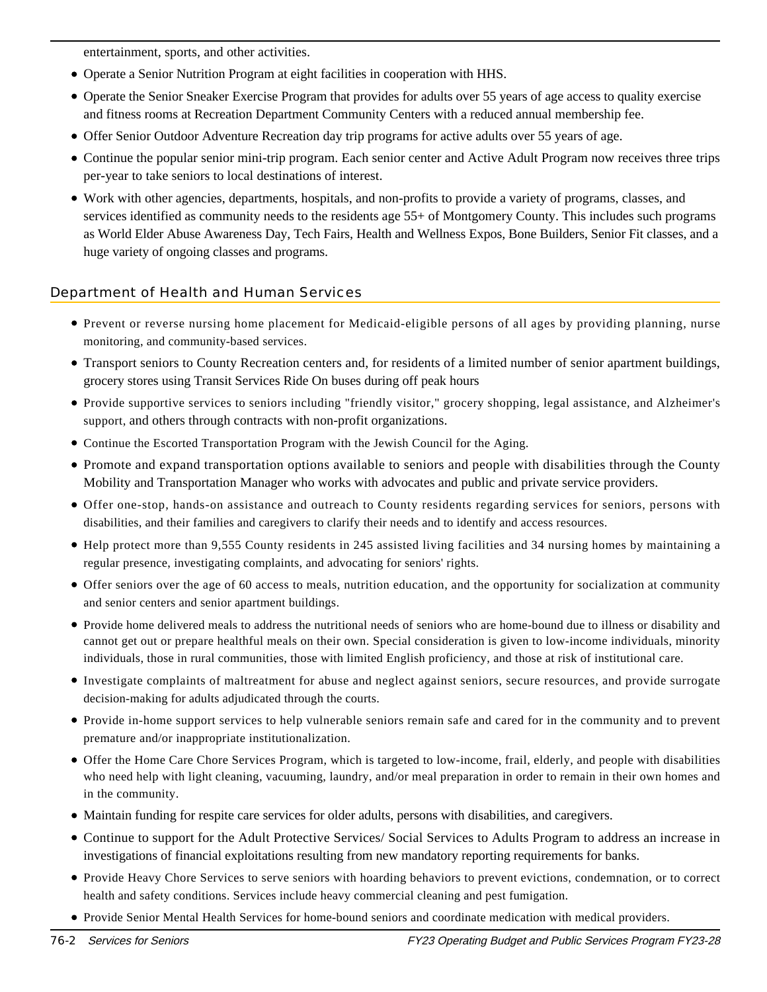entertainment, sports, and other activities.

- Operate a Senior Nutrition Program at eight facilities in cooperation with HHS.
- Operate the Senior Sneaker Exercise Program that provides for adults over 55 years of age access to quality exercise and fitness rooms at Recreation Department Community Centers with a reduced annual membership fee.
- Offer Senior Outdoor Adventure Recreation day trip programs for active adults over 55 years of age.
- Continue the popular senior mini-trip program. Each senior center and Active Adult Program now receives three trips per-year to take seniors to local destinations of interest.
- Work with other agencies, departments, hospitals, and non-profits to provide a variety of programs, classes, and services identified as community needs to the residents age 55+ of Montgomery County. This includes such programs as World Elder Abuse Awareness Day, Tech Fairs, Health and Wellness Expos, Bone Builders, Senior Fit classes, and a huge variety of ongoing classes and programs.

# Department of Health and Human Services

- Prevent or reverse nursing home placement for Medicaid-eligible persons of all ages by providing planning, nurse monitoring, and community-based services.
- Transport seniors to County Recreation centers and, for residents of a limited number of senior apartment buildings, grocery stores using Transit Services Ride On buses during off peak hours
- Provide supportive services to seniors including "friendly visitor," grocery shopping, legal assistance, and Alzheimer's support, and others through contracts with non-profit organizations.
- Continue the Escorted Transportation Program with the Jewish Council for the Aging.
- Promote and expand transportation options available to seniors and people with disabilities through the County Mobility and Transportation Manager who works with advocates and public and private service providers.
- Offer one-stop, hands-on assistance and outreach to County residents regarding services for seniors, persons with disabilities, and their families and caregivers to clarify their needs and to identify and access resources.
- Help protect more than 9,555 County residents in 245 assisted living facilities and 34 nursing homes by maintaining a regular presence, investigating complaints, and advocating for seniors' rights.
- Offer seniors over the age of 60 access to meals, nutrition education, and the opportunity for socialization at community and senior centers and senior apartment buildings.
- Provide home delivered meals to address the nutritional needs of seniors who are home-bound due to illness or disability and cannot get out or prepare healthful meals on their own. Special consideration is given to low-income individuals, minority individuals, those in rural communities, those with limited English proficiency, and those at risk of institutional care.
- Investigate complaints of maltreatment for abuse and neglect against seniors, secure resources, and provide surrogate decision-making for adults adjudicated through the courts.
- Provide in-home support services to help vulnerable seniors remain safe and cared for in the community and to prevent premature and/or inappropriate institutionalization.
- Offer the Home Care Chore Services Program, which is targeted to low-income, frail, elderly, and people with disabilities who need help with light cleaning, vacuuming, laundry, and/or meal preparation in order to remain in their own homes and in the community.
- Maintain funding for respite care services for older adults, persons with disabilities, and caregivers.
- Continue to support for the Adult Protective Services/ Social Services to Adults Program to address an increase in investigations of financial exploitations resulting from new mandatory reporting requirements for banks.
- Provide Heavy Chore Services to serve seniors with hoarding behaviors to prevent evictions, condemnation, or to correct health and safety conditions. Services include heavy commercial cleaning and pest fumigation.
- Provide Senior Mental Health Services for home-bound seniors and coordinate medication with medical providers.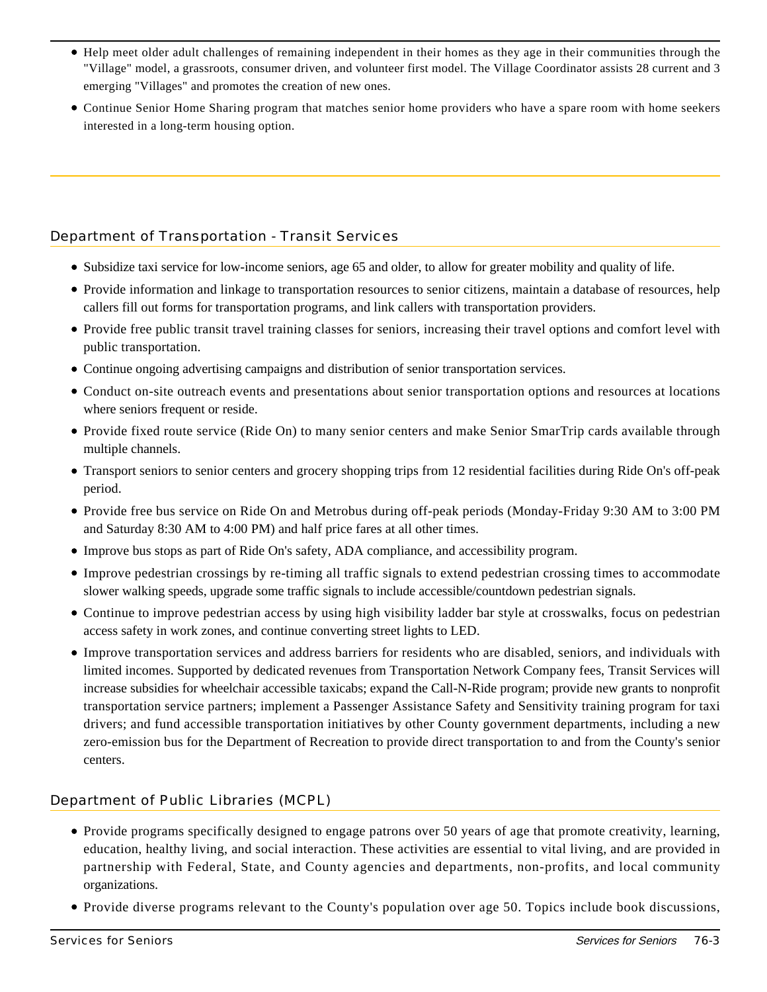- Help meet older adult challenges of remaining independent in their homes as they age in their communities through the "Village" model, a grassroots, consumer driven, and volunteer first model. The Village Coordinator assists 28 current and 3 emerging "Villages" and promotes the creation of new ones.
- Continue Senior Home Sharing program that matches senior home providers who have a spare room with home seekers interested in a long-term housing option.

# Department of Transportation - Transit Services

- Subsidize taxi service for low-income seniors, age 65 and older, to allow for greater mobility and quality of life.
- Provide information and linkage to transportation resources to senior citizens, maintain a database of resources, help callers fill out forms for transportation programs, and link callers with transportation providers.
- Provide free public transit travel training classes for seniors, increasing their travel options and comfort level with public transportation.
- Continue ongoing advertising campaigns and distribution of senior transportation services.
- Conduct on-site outreach events and presentations about senior transportation options and resources at locations where seniors frequent or reside.
- Provide fixed route service (Ride On) to many senior centers and make Senior SmarTrip cards available through multiple channels.
- Transport seniors to senior centers and grocery shopping trips from 12 residential facilities during Ride On's off-peak period.
- Provide free bus service on Ride On and Metrobus during off-peak periods (Monday-Friday 9:30 AM to 3:00 PM and Saturday 8:30 AM to 4:00 PM) and half price fares at all other times.
- Improve bus stops as part of Ride On's safety, ADA compliance, and accessibility program.
- Improve pedestrian crossings by re-timing all traffic signals to extend pedestrian crossing times to accommodate slower walking speeds, upgrade some traffic signals to include accessible/countdown pedestrian signals.
- Continue to improve pedestrian access by using high visibility ladder bar style at crosswalks, focus on pedestrian access safety in work zones, and continue converting street lights to LED.
- Improve transportation services and address barriers for residents who are disabled, seniors, and individuals with limited incomes. Supported by dedicated revenues from Transportation Network Company fees, Transit Services will increase subsidies for wheelchair accessible taxicabs; expand the Call-N-Ride program; provide new grants to nonprofit transportation service partners; implement a Passenger Assistance Safety and Sensitivity training program for taxi drivers; and fund accessible transportation initiatives by other County government departments, including a new zero-emission bus for the Department of Recreation to provide direct transportation to and from the County's senior centers.

# Department of Public Libraries (MCPL)

- Provide programs specifically designed to engage patrons over 50 years of age that promote creativity, learning, education, healthy living, and social interaction. These activities are essential to vital living, and are provided in partnership with Federal, State, and County agencies and departments, non-profits, and local community organizations.
- Provide diverse programs relevant to the County's population over age 50. Topics include book discussions,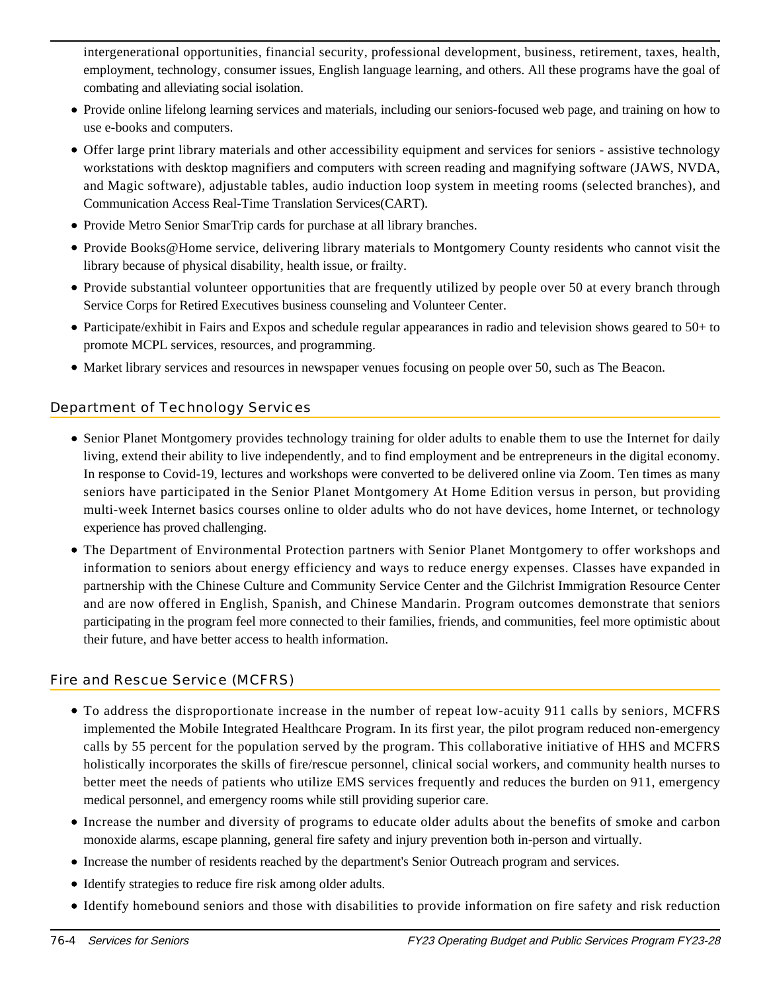intergenerational opportunities, financial security, professional development, business, retirement, taxes, health, employment, technology, consumer issues, English language learning, and others. All these programs have the goal of combating and alleviating social isolation.

- Provide online lifelong learning services and materials, including our seniors-focused web page, and training on how to use e-books and computers.
- Offer large print library materials and other accessibility equipment and services for seniors assistive technology workstations with desktop magnifiers and computers with screen reading and magnifying software (JAWS, NVDA, and Magic software), adjustable tables, audio induction loop system in meeting rooms (selected branches), and Communication Access Real-Time Translation Services(CART).
- Provide Metro Senior SmarTrip cards for purchase at all library branches.
- Provide Books@Home service, delivering library materials to Montgomery County residents who cannot visit the library because of physical disability, health issue, or frailty.
- Provide substantial volunteer opportunities that are frequently utilized by people over 50 at every branch through Service Corps for Retired Executives business counseling and Volunteer Center.
- Participate/exhibit in Fairs and Expos and schedule regular appearances in radio and television shows geared to 50+ to promote MCPL services, resources, and programming.
- Market library services and resources in newspaper venues focusing on people over 50, such as The Beacon.

# Department of Technology Services

- Senior Planet Montgomery provides technology training for older adults to enable them to use the Internet for daily living, extend their ability to live independently, and to find employment and be entrepreneurs in the digital economy. In response to Covid-19, lectures and workshops were converted to be delivered online via Zoom. Ten times as many seniors have participated in the Senior Planet Montgomery At Home Edition versus in person, but providing multi-week Internet basics courses online to older adults who do not have devices, home Internet, or technology experience has proved challenging.
- The Department of Environmental Protection partners with Senior Planet Montgomery to offer workshops and information to seniors about energy efficiency and ways to reduce energy expenses. Classes have expanded in partnership with the Chinese Culture and Community Service Center and the Gilchrist Immigration Resource Center and are now offered in English, Spanish, and Chinese Mandarin. Program outcomes demonstrate that seniors participating in the program feel more connected to their families, friends, and communities, feel more optimistic about their future, and have better access to health information.

# Fire and Rescue Service (MCFRS)

- To address the disproportionate increase in the number of repeat low-acuity 911 calls by seniors, MCFRS implemented the Mobile Integrated Healthcare Program. In its first year, the pilot program reduced non-emergency calls by 55 percent for the population served by the program. This collaborative initiative of HHS and MCFRS holistically incorporates the skills of fire/rescue personnel, clinical social workers, and community health nurses to better meet the needs of patients who utilize EMS services frequently and reduces the burden on 911, emergency medical personnel, and emergency rooms while still providing superior care.
- Increase the number and diversity of programs to educate older adults about the benefits of smoke and carbon monoxide alarms, escape planning, general fire safety and injury prevention both in-person and virtually.
- Increase the number of residents reached by the department's Senior Outreach program and services.
- Identify strategies to reduce fire risk among older adults.
- Identify homebound seniors and those with disabilities to provide information on fire safety and risk reduction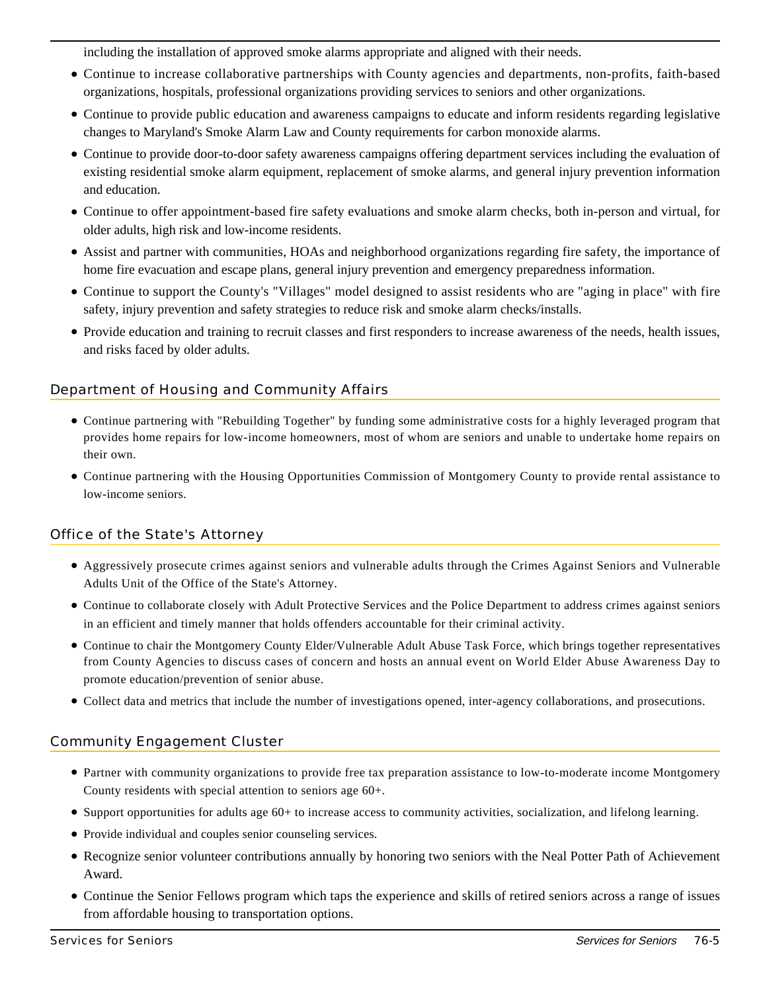including the installation of approved smoke alarms appropriate and aligned with their needs.

- Continue to increase collaborative partnerships with County agencies and departments, non-profits, faith-based organizations, hospitals, professional organizations providing services to seniors and other organizations.
- Continue to provide public education and awareness campaigns to educate and inform residents regarding legislative changes to Maryland's Smoke Alarm Law and County requirements for carbon monoxide alarms.
- Continue to provide door-to-door safety awareness campaigns offering department services including the evaluation of existing residential smoke alarm equipment, replacement of smoke alarms, and general injury prevention information and education.
- Continue to offer appointment-based fire safety evaluations and smoke alarm checks, both in-person and virtual, for older adults, high risk and low-income residents.
- Assist and partner with communities, HOAs and neighborhood organizations regarding fire safety, the importance of home fire evacuation and escape plans, general injury prevention and emergency preparedness information.
- Continue to support the County's "Villages" model designed to assist residents who are "aging in place" with fire safety, injury prevention and safety strategies to reduce risk and smoke alarm checks/installs.
- Provide education and training to recruit classes and first responders to increase awareness of the needs, health issues, and risks faced by older adults.

# Department of Housing and Community Affairs

- Continue partnering with "Rebuilding Together" by funding some administrative costs for a highly leveraged program that provides home repairs for low-income homeowners, most of whom are seniors and unable to undertake home repairs on their own.
- Continue partnering with the Housing Opportunities Commission of Montgomery County to provide rental assistance to low-income seniors.

# Office of the State's Attorney

- Aggressively prosecute crimes against seniors and vulnerable adults through the Crimes Against Seniors and Vulnerable Adults Unit of the Office of the State's Attorney.
- Continue to collaborate closely with Adult Protective Services and the Police Department to address crimes against seniors in an efficient and timely manner that holds offenders accountable for their criminal activity.
- Continue to chair the Montgomery County Elder/Vulnerable Adult Abuse Task Force, which brings together representatives from County Agencies to discuss cases of concern and hosts an annual event on World Elder Abuse Awareness Day to promote education/prevention of senior abuse.
- Collect data and metrics that include the number of investigations opened, inter-agency collaborations, and prosecutions.

#### Community Engagement Cluster

- Partner with community organizations to provide free tax preparation assistance to low-to-moderate income Montgomery County residents with special attention to seniors age 60+.
- Support opportunities for adults age 60+ to increase access to community activities, socialization, and lifelong learning.
- Provide individual and couples senior counseling services.
- Recognize senior volunteer contributions annually by honoring two seniors with the Neal Potter Path of Achievement Award.
- Continue the Senior Fellows program which taps the experience and skills of retired seniors across a range of issues from affordable housing to transportation options.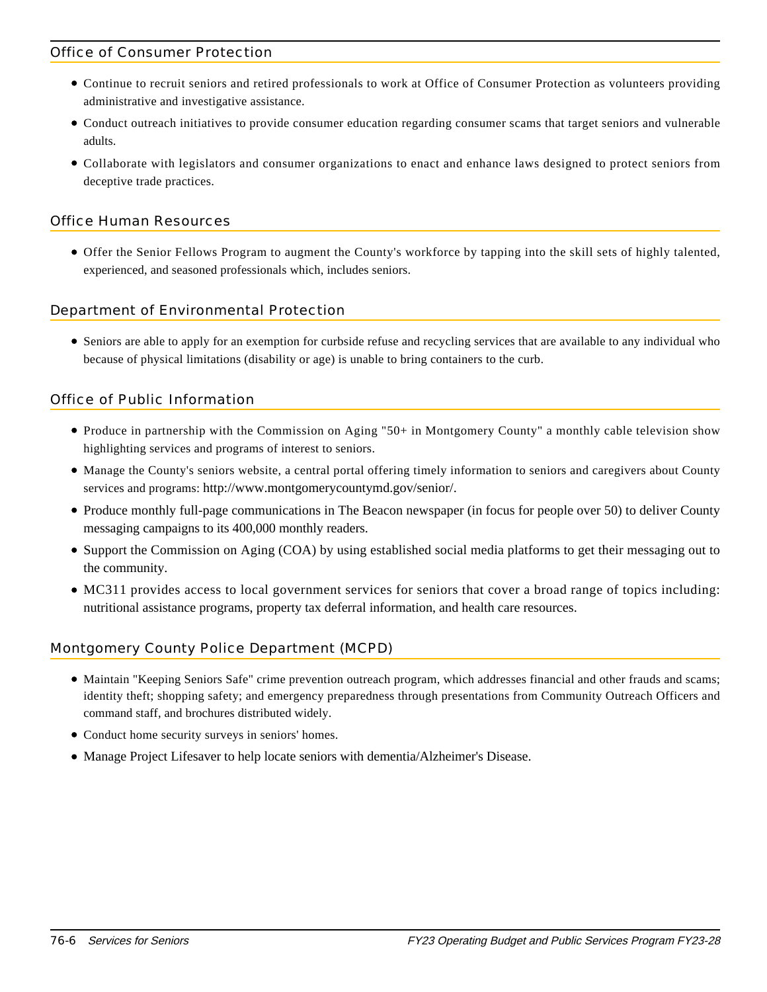### Office of Consumer Protection

- Continue to recruit seniors and retired professionals to work at Office of Consumer Protection as volunteers providing administrative and investigative assistance.
- Conduct outreach initiatives to provide consumer education regarding consumer scams that target seniors and vulnerable adults.
- Collaborate with legislators and consumer organizations to enact and enhance laws designed to protect seniors from deceptive trade practices.

### Office Human Resources

Offer the Senior Fellows Program to augment the County's workforce by tapping into the skill sets of highly talented, experienced, and seasoned professionals which, includes seniors.

#### Department of Environmental Protection

Seniors are able to apply for an exemption for curbside refuse and recycling services that are available to any individual who because of physical limitations (disability or age) is unable to bring containers to the curb.

# Office of Public Information

- Produce in partnership with the Commission on Aging "50+ in Montgomery County" a monthly cable television show highlighting services and programs of interest to seniors.
- Manage the County's seniors website, a central portal offering timely information to seniors and caregivers about County services and programs: http://www.montgomerycountymd.gov/senior/.
- Produce monthly full-page communications in The Beacon newspaper (in focus for people over 50) to deliver County messaging campaigns to its 400,000 monthly readers.
- Support the Commission on Aging (COA) by using established social media platforms to get their messaging out to the community.
- MC311 provides access to local government services for seniors that cover a broad range of topics including: nutritional assistance programs, property tax deferral information, and health care resources.

#### Montgomery County Police Department (MCPD)

- Maintain "Keeping Seniors Safe" crime prevention outreach program, which addresses financial and other frauds and scams; identity theft; shopping safety; and emergency preparedness through presentations from Community Outreach Officers and command staff, and brochures distributed widely.
- Conduct home security surveys in seniors' homes.
- Manage Project Lifesaver to help locate seniors with dementia/Alzheimer's Disease.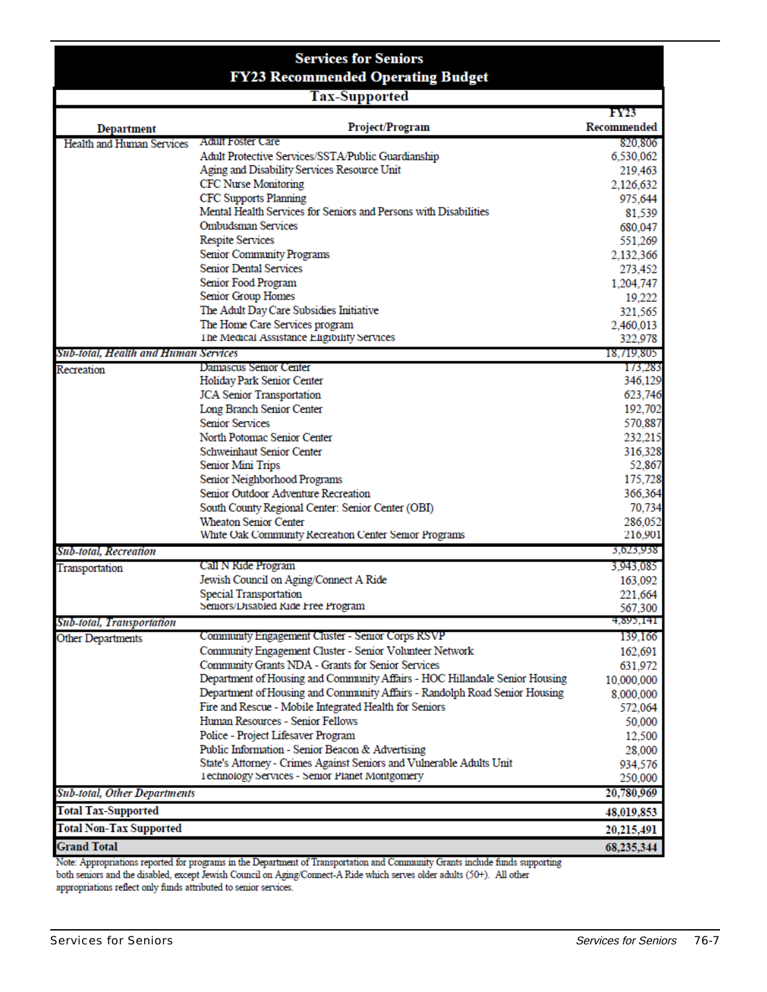|                                      | <b>Services for Seniors</b>                                                 |                   |
|--------------------------------------|-----------------------------------------------------------------------------|-------------------|
|                                      | <b>FY23 Recommended Operating Budget</b>                                    |                   |
|                                      | <b>Tax-Supported</b>                                                        | FY23              |
| Department                           | Project/Program                                                             | Recommended       |
| Health and Human Services            | <b>Adult Foster Care</b>                                                    | 820,806           |
|                                      | Adult Protective Services/SSTA/Public Guardianship                          | 6,530,062         |
|                                      | Aging and Disability Services Resource Unit                                 | 219,463           |
|                                      | <b>CFC Nurse Monitoring</b>                                                 | 2,126,632         |
|                                      | <b>CFC Supports Planning</b>                                                | 975,644           |
|                                      | Mental Health Services for Seniors and Persons with Disabilities            | 81,539            |
|                                      | <b>Ombudsman Services</b>                                                   | 680,047           |
|                                      | <b>Respite Services</b>                                                     | 551,269           |
|                                      | Senior Community Programs                                                   | 2,132,366         |
|                                      | <b>Senior Dental Services</b>                                               | 273,452           |
|                                      | Senior Food Program                                                         | 1,204,747         |
|                                      | Senior Group Homes                                                          | 19,222            |
|                                      | The Adult Day Care Subsidies Initiative                                     | 321.565           |
|                                      | The Home Care Services program                                              | 2,460,013         |
|                                      | The Medical Assistance Eligibility Services                                 | 322,978           |
| Sub-total, Health and Human Services |                                                                             | 18,719,805        |
| Recreation                           | Damascus Senior Center                                                      | 173,283           |
|                                      | Holiday Park Senior Center                                                  | 346,129           |
|                                      | <b>JCA</b> Senior Transportation                                            | 623,746           |
|                                      | Long Branch Senior Center                                                   | 192,702           |
|                                      | <b>Senior Services</b>                                                      | 570,887           |
|                                      | North Potomac Senior Center                                                 | 232,215           |
|                                      | Schweinhaut Senior Center                                                   | 316,328           |
|                                      | Senior Mini Trips                                                           | 52,867            |
|                                      | Senior Neighborhood Programs<br>Senior Outdoor Adventure Recreation         | 175,728           |
|                                      |                                                                             | 366,364<br>70,734 |
|                                      | South County Regional Center: Senior Center (OBI)<br>Wheaton Senior Center  | 286,052           |
|                                      | White Oak Community Recreation Center Senior Programs                       | 216,901           |
| Sub-total, Recreation                |                                                                             | 3,023,938         |
| Transportation                       | Call N Ride Program                                                         | 3,943,085         |
|                                      | Jewish Council on Aging/Connect A Ride                                      | 163,092           |
|                                      | <b>Special Transportation</b>                                               | 221,664           |
|                                      | Seniors/Disabled Kide Free Program                                          | 567,300           |
| Sub-total, Transportation            |                                                                             | 4,895,141         |
| <b>Other Departments</b>             | Community Engagement Cluster - Senior Corps RSVP                            | 139,166           |
|                                      | Community Engagement Cluster - Senior Volunteer Network                     | 162,691           |
|                                      | Community Grants NDA - Grants for Senior Services                           | 631,972           |
|                                      | Department of Housing and Community Affairs - HOC Hillandale Senior Housing | 10,000,000        |
|                                      | Department of Housing and Community Affairs - Randolph Road Senior Housing  | 8,000,000         |
|                                      | Fire and Rescue - Mobile Integrated Health for Seniors                      | 572,064           |
|                                      | Human Resources - Senior Fellows                                            | 50,000            |
|                                      | Police - Project Lifesaver Program                                          | 12,500            |
|                                      | Public Information - Senior Beacon & Advertising                            | 28,000            |
|                                      | State's Attorney - Crimes Against Seniors and Vulnerable Adults Unit        | 934,576           |
|                                      | Technology Services - Semor Planet Montgomery                               | 250,000           |
| <b>Sub-total, Other Departments</b>  |                                                                             | 20,780,969        |
| <b>Total Tax-Supported</b>           |                                                                             | 48,019,853        |
| <b>Total Non-Tax Supported</b>       |                                                                             | 20,215,491        |
| <b>Grand Total</b>                   |                                                                             | 68,235,344        |

Note: Appropriations reported for programs in the Department of Transportation and Community Grants include funds supporting<br>both seniors and the disabled, except Jewish Council on Aging/Connect-A Ride which serves older a